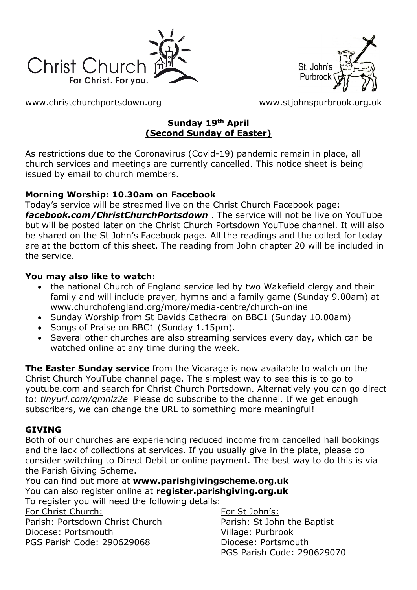



[www.christchurchportsdown.org](http://www.christchurchportsdown.org/) [www.stjohnspurbrook.org.uk](http://www.stjohnspurbrook.org.uk/)

# **Sunday 19th April (Second Sunday of Easter)**

As restrictions due to the Coronavirus (Covid-19) pandemic remain in place, all church services and meetings are currently cancelled. This notice sheet is being issued by email to church members.

# **Morning Worship: 10.30am on Facebook**

Today's service will be streamed live on the Christ Church Facebook page: *[facebook.com/ChristChurchPortsdown](http://www.facebook.com/ChristChurchPortsdown%20at%2010.30)* . The service will not be live on YouTube but will be posted later on the Christ Church Portsdown YouTube channel. It will also be shared on the St John's Facebook page. All the readings and the collect for today are at the bottom of this sheet. The reading from John chapter 20 will be included in the service.

# **You may also like to watch:**

- the national Church of England service led by two Wakefield clergy and their family and will include prayer, hymns and a family game (Sunday 9.00am) at www.churchofengland.org/more/media-centre/church-online
- Sunday Worship from St Davids Cathedral on BBC1 (Sunday 10.00am)
- Songs of Praise on BBC1 (Sunday 1.15pm).
- Several other churches are also streaming services every day, which can be watched online at any time during the week.

**The Easter Sunday service** from the Vicarage is now available to watch on the Christ Church YouTube channel page. The simplest way to see this is to go to youtube.com and search for Christ Church Portsdown. Alternatively you can go direct to: *tinyurl.com/qmnlz2e* Please do subscribe to the channel. If we get enough subscribers, we can change the URL to something more meaningful!

# **GIVING**

Both of our churches are experiencing reduced income from cancelled hall bookings and the lack of collections at services. If you usually give in the plate, please do consider switching to Direct Debit or online payment. The best way to do this is via the Parish Giving Scheme.

You can find out more at **[www.parishgivingscheme.org.uk](http://www.parishgivingscheme.org.uk/)** You can also register online at **register.parishgiving.org.uk** To register you will need the following details:

For Christ Church: Parish: Portsdown Christ Church Diocese: Portsmouth PGS Parish Code: 290629068

For St John's: Parish: St John the Baptist Village: Purbrook Diocese: Portsmouth PGS Parish Code: 290629070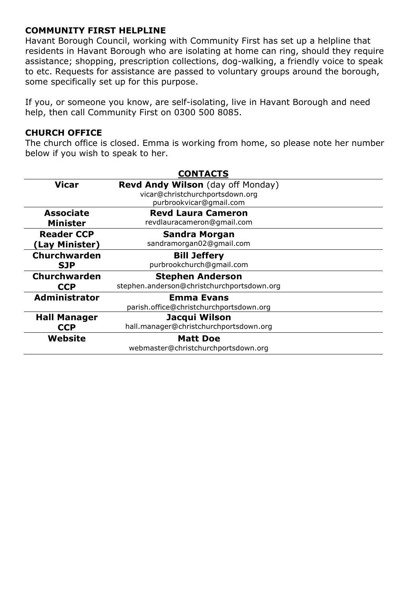### **COMMUNITY FIRST HELPLINE**

Havant Borough Council, working with Community First has set up a helpline that residents in Havant Borough who are isolating at home can ring, should they require assistance; shopping, prescription collections, dog-walking, a friendly voice to speak to etc. Requests for assistance are passed to voluntary groups around the borough, some specifically set up for this purpose.

If you, or someone you know, are self-isolating, live in Havant Borough and need help, then call Community First on 0300 500 8085.

#### **CHURCH OFFICE**

The church office is closed. Emma is working from home, so please note her number below if you wish to speak to her.

| <b>CONTACTS</b>      |                                            |
|----------------------|--------------------------------------------|
| <b>Vicar</b>         | <b>Revd Andy Wilson</b> (day off Monday)   |
|                      | vicar@christchurchportsdown.org            |
|                      | purbrookvicar@gmail.com                    |
| <b>Associate</b>     | <b>Revd Laura Cameron</b>                  |
| <b>Minister</b>      | revdlauracameron@gmail.com                 |
| <b>Reader CCP</b>    | <b>Sandra Morgan</b>                       |
| (Lay Minister)       | sandramorgan02@gmail.com                   |
| <b>Churchwarden</b>  | <b>Bill Jeffery</b>                        |
| <b>SJP</b>           | purbrookchurch@gmail.com                   |
| Churchwarden         | <b>Stephen Anderson</b>                    |
| <b>CCP</b>           | stephen.anderson@christchurchportsdown.org |
| <b>Administrator</b> | <b>Emma Evans</b>                          |
|                      | parish.office@christchurchportsdown.org    |
| <b>Hall Manager</b>  | Jacqui Wilson                              |
| <b>CCP</b>           | hall.manager@christchurchportsdown.org     |
| Website              | <b>Matt Doe</b>                            |
|                      | webmaster@christchurchportsdown.org        |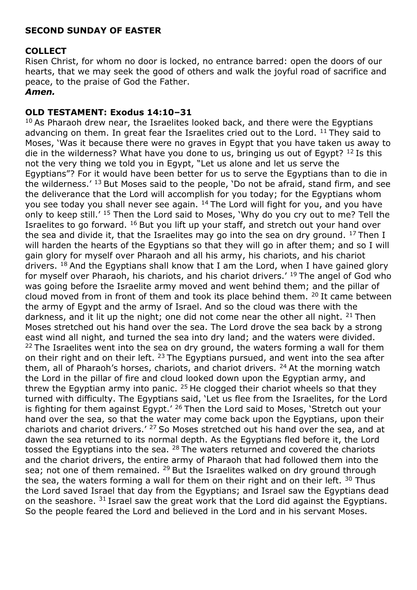### **SECOND SUNDAY OF EASTER**

### **COLLECT**

Risen Christ, for whom no door is locked, no entrance barred: open the doors of our hearts, that we may seek the good of others and walk the joyful road of sacrifice and peace, to the praise of God the Father.

#### *Amen.*

#### **OLD TESTAMENT: Exodus 14:10–31**

 $10$  As Pharaoh drew near, the Israelites looked back, and there were the Egyptians advancing on them. In great fear the Israelites cried out to the Lord.  $11$  They said to Moses, 'Was it because there were no graves in Egypt that you have taken us away to die in the wilderness? What have you done to us, bringing us out of Egypt?  $12$  Is this not the very thing we told you in Egypt, "Let us alone and let us serve the Egyptians"? For it would have been better for us to serve the Egyptians than to die in the wilderness.'  $^{13}$  But Moses said to the people, 'Do not be afraid, stand firm, and see the deliverance that the Lord will accomplish for you today; for the Egyptians whom you see today you shall never see again. <sup>14</sup> The Lord will fight for you, and you have only to keep still.' <sup>15</sup> Then the Lord said to Moses, 'Why do you cry out to me? Tell the Israelites to go forward.  $16$  But you lift up your staff, and stretch out your hand over the sea and divide it, that the Israelites may go into the sea on dry ground.  $^{17}$  Then I will harden the hearts of the Egyptians so that they will go in after them; and so I will gain glory for myself over Pharaoh and all his army, his chariots, and his chariot drivers.  $18$  And the Egyptians shall know that I am the Lord, when I have gained glory for myself over Pharaoh, his chariots, and his chariot drivers.<sup> $19$ </sup> The angel of God who was going before the Israelite army moved and went behind them; and the pillar of cloud moved from in front of them and took its place behind them.  $20$  It came between the army of Egypt and the army of Israel. And so the cloud was there with the darkness, and it lit up the night; one did not come near the other all night.  $21$  Then Moses stretched out his hand over the sea. The Lord drove the sea back by a strong east wind all night, and turned the sea into dry land; and the waters were divided.  $22$  The Israelites went into the sea on dry ground, the waters forming a wall for them on their right and on their left.  $23$  The Egyptians pursued, and went into the sea after them, all of Pharaoh's horses, chariots, and chariot drivers. <sup>24</sup>At the morning watch the Lord in the pillar of fire and cloud looked down upon the Egyptian army, and threw the Egyptian army into panic.  $25$  He clogged their chariot wheels so that they turned with difficulty. The Egyptians said, 'Let us flee from the Israelites, for the Lord is fighting for them against Egypt.<sup> $\prime$  26</sup> Then the Lord said to Moses, 'Stretch out your hand over the sea, so that the water may come back upon the Egyptians, upon their chariots and chariot drivers.<sup>' 27</sup> So Moses stretched out his hand over the sea, and at dawn the sea returned to its normal depth. As the Egyptians fled before it, the Lord tossed the Egyptians into the sea.  $28$  The waters returned and covered the chariots and the chariot drivers, the entire army of Pharaoh that had followed them into the sea; not one of them remained.  $29$  But the Israelites walked on dry ground through the sea, the waters forming a wall for them on their right and on their left.  $30$  Thus the Lord saved Israel that day from the Egyptians; and Israel saw the Egyptians dead on the seashore.  $31$  Israel saw the great work that the Lord did against the Egyptians. So the people feared the Lord and believed in the Lord and in his servant Moses.